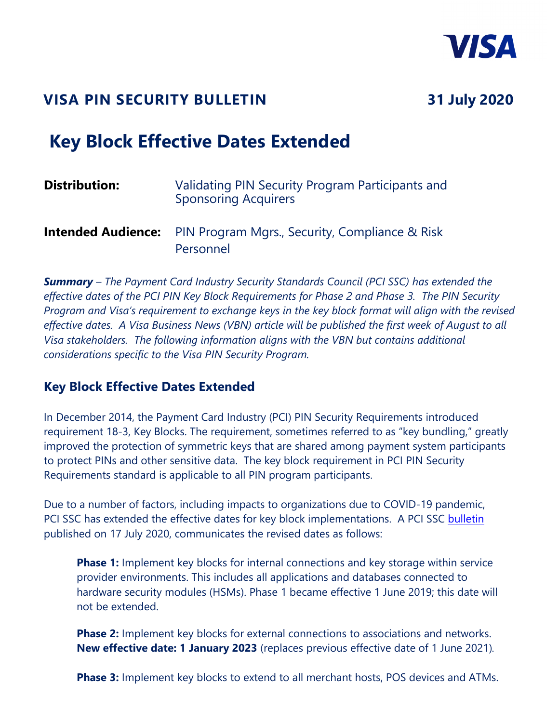

## **VISA PIN SECURITY BULLETIN 31 July 2020**

# **Key Block Effective Dates Extended**

| <b>Distribution:</b>      | Validating PIN Security Program Participants and<br><b>Sponsoring Acquirers</b> |
|---------------------------|---------------------------------------------------------------------------------|
| <b>Intended Audience:</b> | <b>PIN Program Mgrs., Security, Compliance &amp; Risk</b><br>Personnel          |

*Summary – The Payment Card Industry Security Standards Council (PCI SSC) has extended the effective dates of the PCI PIN Key Block Requirements for Phase 2 and Phase 3. The PIN Security Program and Visa's requirement to exchange keys in the key block format will align with the revised effective dates. A Visa Business News (VBN) article will be published the first week of August to all Visa stakeholders. The following information aligns with the VBN but contains additional considerations specific to the Visa PIN Security Program.* 

#### **Key Block Effective Dates Extended**

In December 2014, the Payment Card Industry (PCI) PIN Security Requirements introduced requirement 18-3, Key Blocks. The requirement, sometimes referred to as "key bundling," greatly improved the protection of symmetric keys that are shared among payment system participants to protect PINs and other sensitive data. The key block requirement in PCI PIN Security Requirements standard is applicable to all PIN program participants.

Due to a number of factors, including impacts to organizations due to COVID-19 pandemic, PCI SSC has extended the effective dates for key block implementations. A PCI SSC [bulletin](https://www.pcisecuritystandards.org/pdfs/Key%20Block%20Implementation%20Revision%20Bulletin%20FINAL.pdf) published on 17 July 2020, communicates the revised dates as follows:

**Phase 1:** Implement key blocks for internal connections and key storage within service provider environments. This includes all applications and databases connected to hardware security modules (HSMs). Phase 1 became effective 1 June 2019; this date will not be extended.

**Phase 2:** Implement key blocks for external connections to associations and networks. **New effective date: 1 January 2023** (replaces previous effective date of 1 June 2021)*.* 

**Phase 3:** Implement key blocks to extend to all merchant hosts, POS devices and ATMs.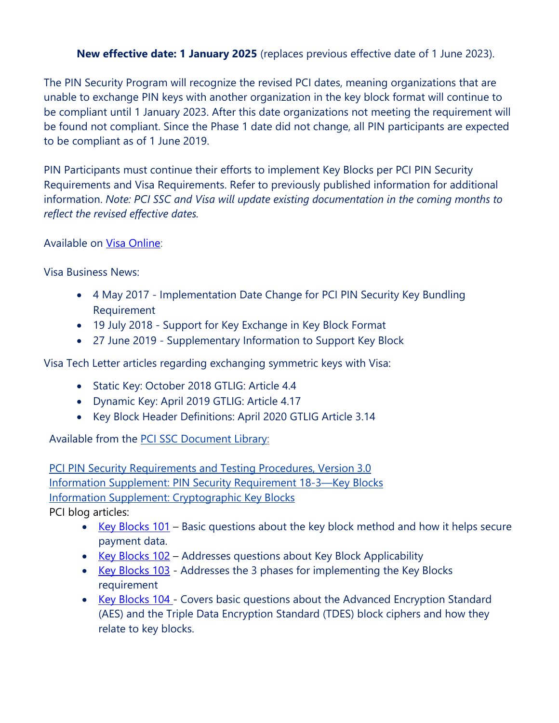#### **New effective date: 1 January 2025** (replaces previous effective date of 1 June 2023).

The PIN Security Program will recognize the revised PCI dates, meaning organizations that are unable to exchange PIN keys with another organization in the key block format will continue to be compliant until 1 January 2023. After this date organizations not meeting the requirement will be found not compliant. Since the Phase 1 date did not change, all PIN participants are expected to be compliant as of 1 June 2019.

PIN Participants must continue their efforts to implement Key Blocks per PCI PIN Security Requirements and Visa Requirements. Refer to previously published information for additional information. *Note: PCI SSC and Visa will update existing documentation in the coming months to reflect the revised effective dates.* 

Available on [Visa Online:](http://www.visaonline.com/login/loginmain.aspx)

Visa Business News:

- 4 May 2017 Implementation Date Change for PCI PIN Security Key Bundling Requirement
- 19 July 2018 Support for Key Exchange in Key Block Format
- 27 June 2019 Supplementary Information to Support Key Block

Visa Tech Letter articles regarding exchanging symmetric keys with Visa:

- Static Key: October 2018 GTLIG: Article 4.4
- Dynamic Key: April 2019 GTLIG: Article 4.17
- Key Block Header Definitions: April 2020 GTLIG Article 3.14

Available from the **PCI SSC Document Library:** 

[PCI PIN Security Requirements and Testing Procedures, Version](https://www.pcisecuritystandards.org/documents/PCI_PIN_Security_Requirements_Testing_v3_Aug2018.pdf?agreement=true&time=1559317426708) 3.0 [Information Supplement: PIN Security Requirement 18-3—Key Blocks](https://www.pcisecuritystandards.org/documents/PIN_Security_Rqmt_18-3_Key_Blocks_2019.pdf?agreement=true&time=1560973516551) [Information Supplement: Cryptographic Key](https://www.pcisecuritystandards.org/documents/Cryptographic_Key_Blocks_Information_Supplement_June_2017.pdf?agreement=true&time=1557430085160) Blocks PCI blog articles:

- Key Blocks  $101$  Basic questions about the key block method and how it helps secure payment data.
- Key Blocks  $102$  Addresses questions about Key Block Applicability
- [Key Blocks 103](https://blog.pcisecuritystandards.org/key-blocks-103)  Addresses the 3 phases for implementing the Key Blocks requirement
- [Key Blocks 104 -](https://blog.pcisecuritystandards.org/key-blocks-104) Covers basic questions about the Advanced Encryption Standard (AES) and the Triple Data Encryption Standard (TDES) block ciphers and how they relate to key blocks.